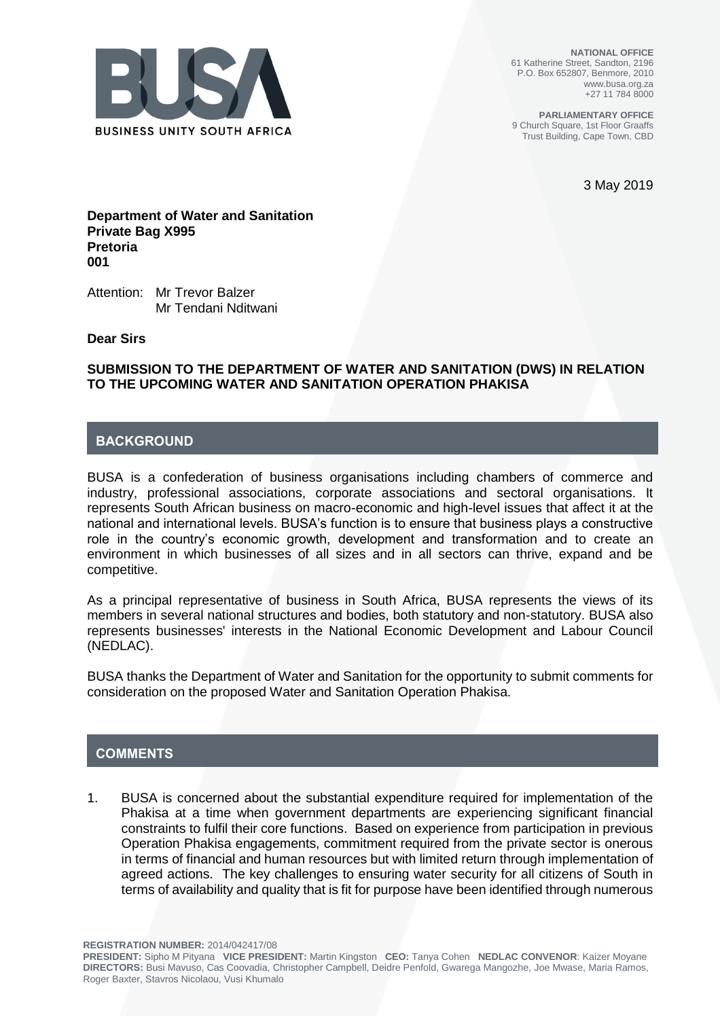

**NATIONAL OFFICE** 61 Katherine Street, Sandton, 2196 P.O. Box 652807, Benmore, 2010 www.busa.org.za +27 11 784 8000

**PARLIAMENTARY OFFICE** 9 Church Square, 1st Floor Graaffs Trust Building, Cape Town, CBD

3 May 2019

**Department of Water and Sanitation Private Bag X995 Pretoria 001**

Attention: Mr Trevor Balzer Mr Tendani Nditwani

**Dear Sirs**

#### **SUBMISSION TO THE DEPARTMENT OF WATER AND SANITATION (DWS) IN RELATION TO THE UPCOMING WATER AND SANITATION OPERATION PHAKISA**

# **BACKGROUND**

BUSA is a confederation of business organisations including chambers of commerce and industry, professional associations, corporate associations and sectoral organisations. It represents South African business on macro-economic and high-level issues that affect it at the national and international levels. BUSA's function is to ensure that business plays a constructive role in the country's economic growth, development and transformation and to create an environment in which businesses of all sizes and in all sectors can thrive, expand and be competitive.

As a principal representative of business in South Africa, BUSA represents the views of its members in several national structures and bodies, both statutory and non-statutory. BUSA also represents businesses' interests in the National Economic Development and Labour Council (NEDLAC).

BUSA thanks the Department of Water and Sanitation for the opportunity to submit comments for consideration on the proposed Water and Sanitation Operation Phakisa.

## **COMMENTS**

1. BUSA is concerned about the substantial expenditure required for implementation of the Phakisa at a time when government departments are experiencing significant financial constraints to fulfil their core functions. Based on experience from participation in previous Operation Phakisa engagements, commitment required from the private sector is onerous in terms of financial and human resources but with limited return through implementation of agreed actions. The key challenges to ensuring water security for all citizens of South in terms of availability and quality that is fit for purpose have been identified through numerous

**REGISTRATION NUMBER:** 2014/042417/08

**PRESIDENT:** Sipho M Pityana **VICE PRESIDENT:** Martin Kingston **CEO:** Tanya Cohen **NEDLAC CONVENOR**: Kaizer Moyane **DIRECTORS:** Busi Mavuso, Cas Coovadia, Christopher Campbell, Deidre Penfold, Gwarega Mangozhe, Joe Mwase, Maria Ramos, Roger Baxter, Stavros Nicolaou, Vusi Khumalo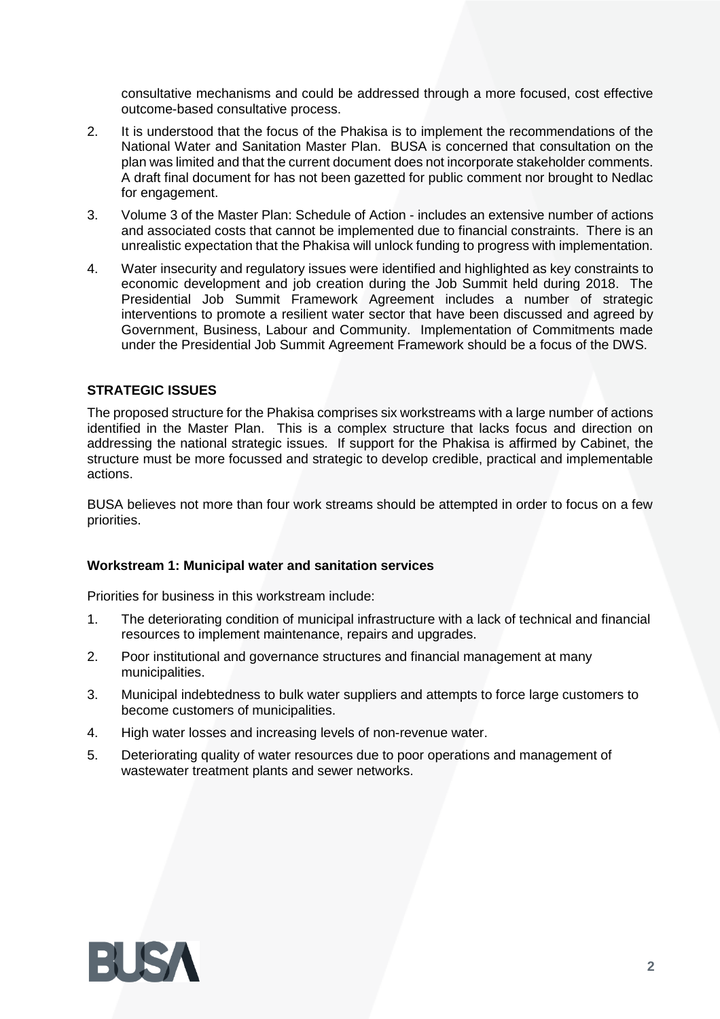consultative mechanisms and could be addressed through a more focused, cost effective outcome-based consultative process.

- 2. It is understood that the focus of the Phakisa is to implement the recommendations of the National Water and Sanitation Master Plan. BUSA is concerned that consultation on the plan was limited and that the current document does not incorporate stakeholder comments. A draft final document for has not been gazetted for public comment nor brought to Nedlac for engagement.
- 3. Volume 3 of the Master Plan: Schedule of Action includes an extensive number of actions and associated costs that cannot be implemented due to financial constraints. There is an unrealistic expectation that the Phakisa will unlock funding to progress with implementation.
- 4. Water insecurity and regulatory issues were identified and highlighted as key constraints to economic development and job creation during the Job Summit held during 2018. The Presidential Job Summit Framework Agreement includes a number of strategic interventions to promote a resilient water sector that have been discussed and agreed by Government, Business, Labour and Community. Implementation of Commitments made under the Presidential Job Summit Agreement Framework should be a focus of the DWS.

## **STRATEGIC ISSUES**

The proposed structure for the Phakisa comprises six workstreams with a large number of actions identified in the Master Plan. This is a complex structure that lacks focus and direction on addressing the national strategic issues. If support for the Phakisa is affirmed by Cabinet, the structure must be more focussed and strategic to develop credible, practical and implementable actions.

BUSA believes not more than four work streams should be attempted in order to focus on a few priorities.

#### **Workstream 1: Municipal water and sanitation services**

Priorities for business in this workstream include:

- 1. The deteriorating condition of municipal infrastructure with a lack of technical and financial resources to implement maintenance, repairs and upgrades.
- 2. Poor institutional and governance structures and financial management at many municipalities.
- 3. Municipal indebtedness to bulk water suppliers and attempts to force large customers to become customers of municipalities.
- 4. High water losses and increasing levels of non-revenue water.
- 5. Deteriorating quality of water resources due to poor operations and management of wastewater treatment plants and sewer networks.